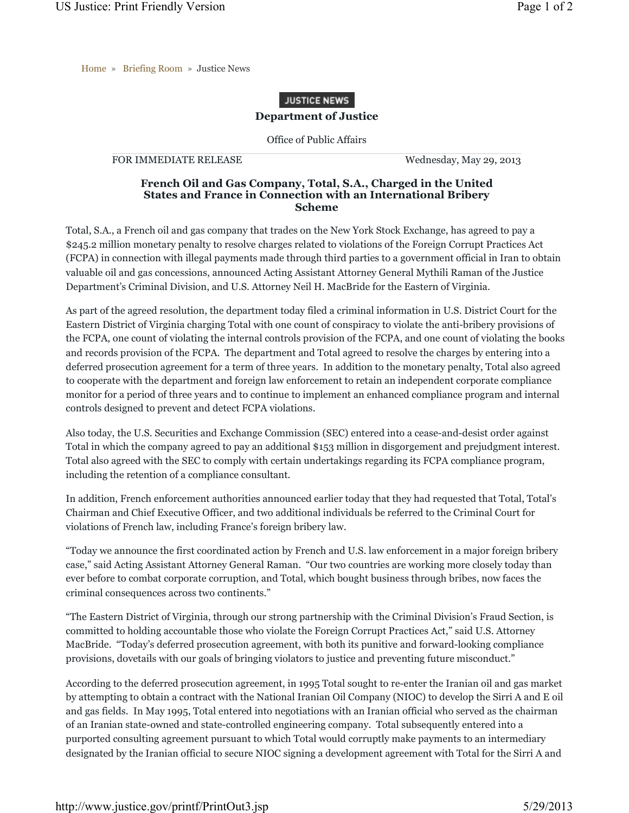Home » Briefing Room » Justice News

## **JUSTICE NEWS**

## **Department of Justice**

Office of Public Affairs

FOR IMMEDIATE RELEASE Wednesday, May 29, 2013

## **French Oil and Gas Company, Total, S.A., Charged in the United States and France in Connection with an International Bribery Scheme**

Total, S.A., a French oil and gas company that trades on the New York Stock Exchange, has agreed to pay a \$245.2 million monetary penalty to resolve charges related to violations of the Foreign Corrupt Practices Act (FCPA) in connection with illegal payments made through third parties to a government official in Iran to obtain valuable oil and gas concessions, announced Acting Assistant Attorney General Mythili Raman of the Justice Department's Criminal Division, and U.S. Attorney Neil H. MacBride for the Eastern of Virginia.

As part of the agreed resolution, the department today filed a criminal information in U.S. District Court for the Eastern District of Virginia charging Total with one count of conspiracy to violate the anti-bribery provisions of the FCPA, one count of violating the internal controls provision of the FCPA, and one count of violating the books and records provision of the FCPA. The department and Total agreed to resolve the charges by entering into a deferred prosecution agreement for a term of three years. In addition to the monetary penalty, Total also agreed to cooperate with the department and foreign law enforcement to retain an independent corporate compliance monitor for a period of three years and to continue to implement an enhanced compliance program and internal controls designed to prevent and detect FCPA violations.

Also today, the U.S. Securities and Exchange Commission (SEC) entered into a cease-and-desist order against Total in which the company agreed to pay an additional \$153 million in disgorgement and prejudgment interest. Total also agreed with the SEC to comply with certain undertakings regarding its FCPA compliance program, including the retention of a compliance consultant.

In addition, French enforcement authorities announced earlier today that they had requested that Total, Total's Chairman and Chief Executive Officer, and two additional individuals be referred to the Criminal Court for violations of French law, including France's foreign bribery law.

"Today we announce the first coordinated action by French and U.S. law enforcement in a major foreign bribery case," said Acting Assistant Attorney General Raman. "Our two countries are working more closely today than ever before to combat corporate corruption, and Total, which bought business through bribes, now faces the criminal consequences across two continents."

"The Eastern District of Virginia, through our strong partnership with the Criminal Division's Fraud Section, is committed to holding accountable those who violate the Foreign Corrupt Practices Act," said U.S. Attorney MacBride. "Today's deferred prosecution agreement, with both its punitive and forward-looking compliance provisions, dovetails with our goals of bringing violators to justice and preventing future misconduct."

According to the deferred prosecution agreement, in 1995 Total sought to re-enter the Iranian oil and gas market by attempting to obtain a contract with the National Iranian Oil Company (NIOC) to develop the Sirri A and E oil and gas fields. In May 1995, Total entered into negotiations with an Iranian official who served as the chairman of an Iranian state-owned and state-controlled engineering company. Total subsequently entered into a purported consulting agreement pursuant to which Total would corruptly make payments to an intermediary designated by the Iranian official to secure NIOC signing a development agreement with Total for the Sirri A and